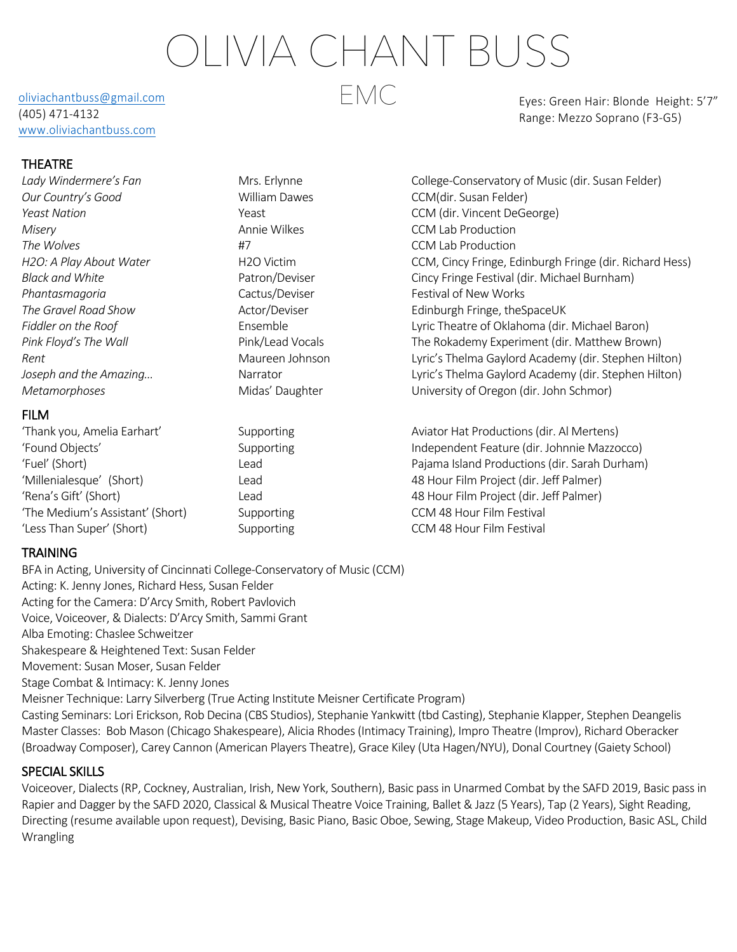# OLIVIA CHANT BUSS

EMC

oliviachantbuss@gmail.com (405) 471-4132 www.oliviachantbuss.com

Eyes: Green Hair: Blonde Height: 5'7" Range: Mezzo Soprano (F3-G5)

#### THEATRE

*Our Country's Good* William Dawes CCM(dir. Susan Felder) *Misery* Annie Wilkes CCM Lab Production **The Wolves 1988 1988 1989 1989 1989 1999 1999 1999 1999 1999 1999 1999 1999 1999 1999 1999 1999 1999 1999 1999 1999 1999 1999 1999 1999 1999 1999 1999 1999 1999** Phantasmagoria **Cactus/Deviser** Cactus/Deviser Festival of New Works

#### FILM

| 'Thank you, Amelia Earhart'      | Supporting | Aviator Hat Productions (d   |
|----------------------------------|------------|------------------------------|
| 'Found Objects'                  | Supporting | Independent Feature (dir.    |
| 'Fuel' (Short)                   | Lead       | Pajama Island Productions    |
| 'Millenialesque' (Short)         | Lead       | 48 Hour Film Project (dir. J |
| 'Rena's Gift' (Short)            | Lead       | 48 Hour Film Project (dir. J |
| 'The Medium's Assistant' (Short) | Supporting | CCM 48 Hour Film Festival    |
| 'Less Than Super' (Short)        | Supporting | CCM 48 Hour Film Festival    |

*Lady Windermere's Fan* Mrs. Erlynne College-Conservatory of Music (dir. Susan Felder) *Yeast Nation* Yeast CCM (dir. Vincent DeGeorge) H2O: A Play About Water **H2O Victim** H2O Victim CCM, Cincy Fringe, Edinburgh Fringe (dir. Richard Hess) *Black and White* **Patron/Deviser Cincy Fringe Festival (dir. Michael Burnham)** Cincy Fringe Festival (dir. Michael Burnham) **The Gravel Road Show Community Controllering Actor/Deviser Community Community Edinburgh Fringe, the SpaceUK** *Fiddler on the Roof* Ensemble Lyric Theatre of Oklahoma (dir. Michael Baron) Pink Floyd's The Wall **Pink/Lead Vocals** The Rokademy Experiment (dir. Matthew Brown) **Rent** Maureen Johnson **Lyric's Thelma Gaylord Academy (dir. Stephen Hilton)** *Joseph and the Amazing...* Narrator Narrator Lyric's Thelma Gaylord Academy (dir. Stephen Hilton) *Metamorphoses* Midas' Daughter University of Oregon (dir. John Schmor)

> Supporting Thank Multimedia Aviator Hat Productions (dir. Al Mertens) Supporting The Independent Feature (dir. Johnnie Mazzocco) Lead **Example 20 Increased Pality Contract** Pajama Island Productions (dir. Sarah Durham) Lead Lead 18 Hour Film Project (dir. Jeff Palmer) Lead Lead 18 Hour Film Project (dir. Jeff Palmer) Supporting The Medium CCM 48 Hour Film Festival

### **TRAINING**

BFA in Acting, University of Cincinnati College-Conservatory of Music (CCM) Acting: K. Jenny Jones, Richard Hess, Susan Felder Acting for the Camera: D'Arcy Smith, Robert Pavlovich Voice, Voiceover, & Dialects: D'Arcy Smith, Sammi Grant Alba Emoting: Chaslee Schweitzer Shakespeare & Heightened Text: Susan Felder Movement: Susan Moser, Susan Felder Stage Combat & Intimacy: K. Jenny Jones Meisner Technique: Larry Silverberg (True Acting Institute Meisner Certificate Program) Casting Seminars: Lori Erickson, Rob Decina (CBS Studios), Stephanie Yankwitt (tbd Casting), Stephanie Klapper, Stephen Deangelis Master Classes: Bob Mason (Chicago Shakespeare), Alicia Rhodes (Intimacy Training), Impro Theatre (Improv), Richard Oberacker (Broadway Composer), Carey Cannon (American Players Theatre), Grace Kiley (Uta Hagen/NYU), Donal Courtney (Gaiety School)

#### SPECIAL SKILLS

Voiceover, Dialects (RP, Cockney, Australian, Irish, New York, Southern), Basic pass in Unarmed Combat by the SAFD 2019, Basic pass in Rapier and Dagger by the SAFD 2020, Classical & Musical Theatre Voice Training, Ballet & Jazz (5 Years), Tap (2 Years), Sight Reading, Directing (resume available upon request), Devising, Basic Piano, Basic Oboe, Sewing, Stage Makeup, Video Production, Basic ASL, Child **Wrangling**